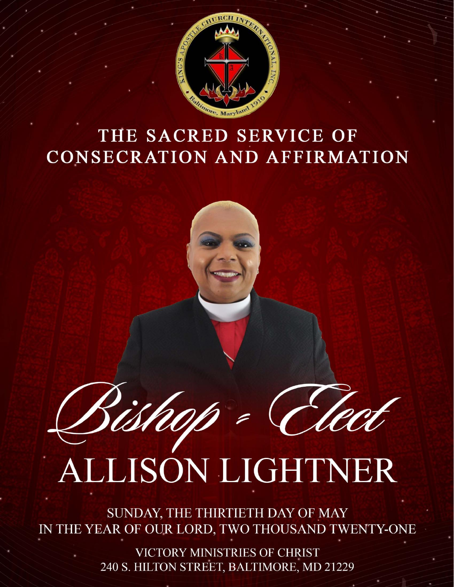

## THE SACRED SERVICE OF CONSECRATION AND AFFIRMATION



# ALLISON LIGHTNER

SUNDAY, THE THIRTIETH DAY OF MAY IN THE YEAR OF OUR LORD, TWO THOUSAND TWENTY-ONE

> VICTORY MINISTRIES OF CHRIST 240 S. HILTON STREET, BALTIMORE, MD 21229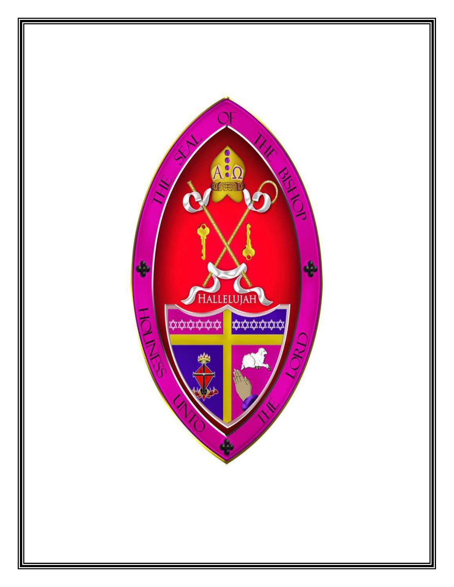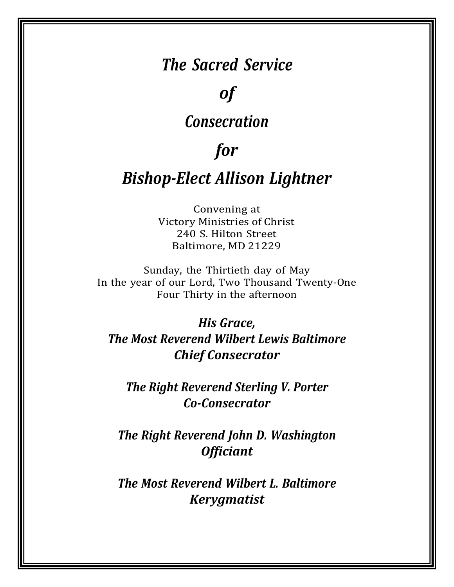## *The Sacred Service*

## *of*

## *Consecration*

## *for*

## *Bishop-Elect Allison Lightner*

Convening at Victory Ministries of Christ 240 S. Hilton Street Baltimore, MD 21229

Sunday, the Thirtieth day of May In the year of our Lord, Two Thousand Twenty-One Four Thirty in the afternoon

*His Grace, The Most Reverend Wilbert Lewis Baltimore Chief Consecrator*

*The Right Reverend Sterling V. Porter Co-Consecrator*

*The Right Reverend John D. Washington Officiant*

*The Most Reverend Wilbert L. Baltimore Kerygmatist*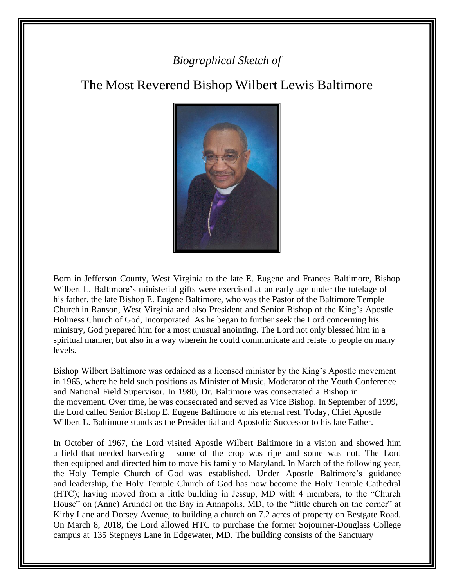## *Biographical Sketch of*

## The Most Reverend Bishop Wilbert Lewis Baltimore



Born in Jefferson County, West Virginia to the late E. Eugene and Frances Baltimore, Bishop Wilbert L. Baltimore's ministerial gifts were exercised at an early age under the tutelage of his father, the late Bishop E. Eugene Baltimore, who was the Pastor of the Baltimore Temple Church in Ranson, West Virginia and also President and Senior Bishop of the King's Apostle Holiness Church of God, Incorporated. As he began to further seek the Lord concerning his ministry, God prepared him for a most unusual anointing. The Lord not only blessed him in a spiritual manner, but also in a way wherein he could communicate and relate to people on many levels.

Bishop Wilbert Baltimore was ordained as a licensed minister by the King's Apostle movement in 1965, where he held such positions as Minister of Music, Moderator of the Youth Conference and National Field Supervisor. In 1980, Dr. Baltimore was consecrated a Bishop in the movement. Over time, he was consecrated and served as Vice Bishop. In September of 1999, the Lord called Senior Bishop E. Eugene Baltimore to his eternal rest. Today, Chief Apostle Wilbert L. Baltimore stands as the Presidential and Apostolic Successor to his late Father.

In October of 1967, the Lord visited Apostle Wilbert Baltimore in a vision and showed him a field that needed harvesting – some of the crop was ripe and some was not. The Lord then equipped and directed him to move his family to Maryland. In March of the following year, the Holy Temple Church of God was established. Under Apostle Baltimore's guidance and leadership, the Holy Temple Church of God has now become the Holy Temple Cathedral (HTC); having moved from a little building in Jessup, MD with 4 members, to the "Church House" on (Anne) Arundel on the Bay in Annapolis, MD, to the "little church on the corner" at Kirby Lane and Dorsey Avenue, to building a church on 7.2 acres of property on Bestgate Road. On March 8, 2018, the Lord allowed HTC to purchase the former Sojourner-Douglass College campus at 135 Stepneys Lane in Edgewater, MD. The building consists of the Sanctuary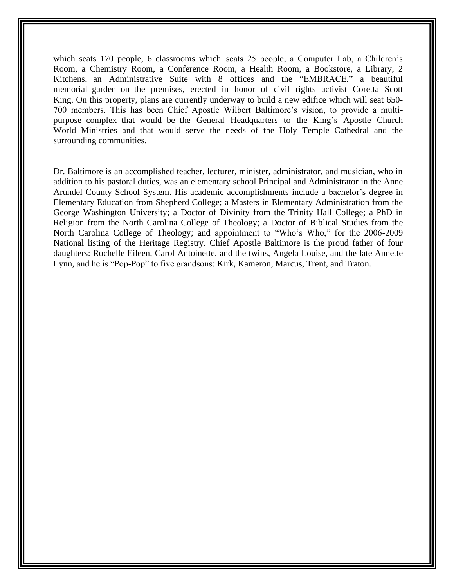which seats 170 people, 6 classrooms which seats 25 people, a Computer Lab, a Children's Room, a Chemistry Room, a Conference Room, a Health Room, a Bookstore, a Library, 2 Kitchens, an Administrative Suite with 8 offices and the "EMBRACE," a beautiful memorial garden on the premises, erected in honor of civil rights activist Coretta Scott King. On this property, plans are currently underway to build a new edifice which will seat 650- 700 members. This has been Chief Apostle Wilbert Baltimore's vision, to provide a multipurpose complex that would be the General Headquarters to the King's Apostle Church World Ministries and that would serve the needs of the Holy Temple Cathedral and the surrounding communities.

Dr. Baltimore is an accomplished teacher, lecturer, minister, administrator, and musician, who in addition to his pastoral duties, was an elementary school Principal and Administrator in the Anne Arundel County School System. His academic accomplishments include a bachelor's degree in Elementary Education from Shepherd College; a Masters in Elementary Administration from the George Washington University; a Doctor of Divinity from the Trinity Hall College; a PhD in Religion from the North Carolina College of Theology; a Doctor of Biblical Studies from the North Carolina College of Theology; and appointment to "Who's Who," for the 2006-2009 National listing of the Heritage Registry. Chief Apostle Baltimore is the proud father of four daughters: Rochelle Eileen, Carol Antoinette, and the twins, Angela Louise, and the late Annette Lynn, and he is "Pop-Pop" to five grandsons: Kirk, Kameron, Marcus, Trent, and Traton.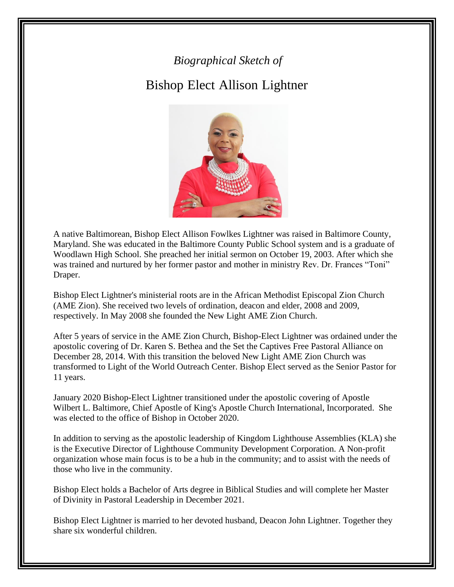## *Biographical Sketch of*

## Bishop Elect Allison Lightner



A native Baltimorean, Bishop Elect Allison Fowlkes Lightner was raised in Baltimore County, Maryland. She was educated in the Baltimore County Public School system and is a graduate of Woodlawn High School. She preached her initial sermon on October 19, 2003. After which she was trained and nurtured by her former pastor and mother in ministry [Rev. Dr. Frances "Toni"](http://www.freedomtempleamez.groupsite.com/) [Draper.](http://www.freedomtempleamez.groupsite.com/)

Bishop Elect Lightner's ministerial roots are in the African Methodist Episcopal Zion Church (AME Zion). She received two levels of ordination, deacon and elder, 2008 and 2009, respectively. In May 2008 she founded the New Light AME Zion Church.

After 5 years of service in the AME Zion Church, Bishop-Elect Lightner was ordained under the apostolic covering of [Dr. Karen S. Bethea a](http://www.ksbmin.org/)nd the Set the Captives Free Pastoral Alliance on December 28, 2014. With this transition the beloved New Light AME Zion Church was transformed to Light of the World Outreach Center. Bishop Elect served as the Senior Pastor for 11 years.

January 2020 Bishop-Elect Lightner transitioned under the apostolic covering of Apostle Wilbert L. Baltimore, Chief Apostle of King's Apostle Church International, Incorporated. She was elected to the office of Bishop in October 2020.

In addition to serving as the apostolic leadership of Kingdom Lighthouse Assemblies (KLA) she is the Executive Director of Lighthouse Community Development Corporation. A Non-profit organization whose main focus is to be a hub in the community; and to assist with the needs of those who live in the community.

Bishop Elect holds a Bachelor of Arts degree in Biblical Studies and will complete her Master of Divinity in Pastoral Leadership in December 2021.

Bishop Elect Lightner is married to her devoted husband, Deacon John Lightner. Together they share six wonderful children.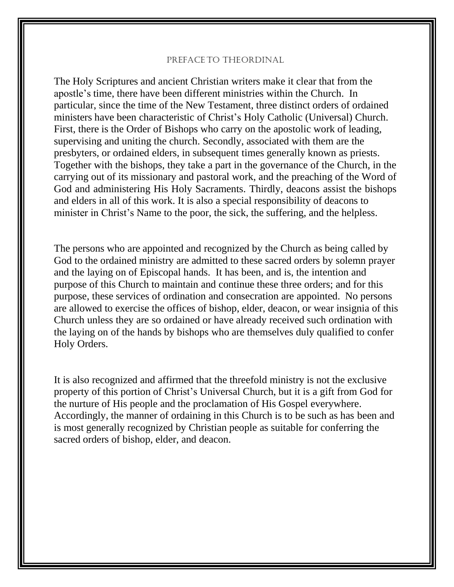#### PREFACE TO THEORDINAL

The Holy Scriptures and ancient Christian writers make it clear that from the apostle's time, there have been different ministries within the Church. In particular, since the time of the New Testament, three distinct orders of ordained ministers have been characteristic of Christ's Holy Catholic (Universal) Church. First, there is the Order of Bishops who carry on the apostolic work of leading, supervising and uniting the church. Secondly, associated with them are the presbyters, or ordained elders, in subsequent times generally known as priests. Together with the bishops, they take a part in the governance of the Church, in the carrying out of its missionary and pastoral work, and the preaching of the Word of God and administering His Holy Sacraments. Thirdly, deacons assist the bishops and elders in all of this work. It is also a special responsibility of deacons to minister in Christ's Name to the poor, the sick, the suffering, and the helpless.

The persons who are appointed and recognized by the Church as being called by God to the ordained ministry are admitted to these sacred orders by solemn prayer and the laying on of Episcopal hands. It has been, and is, the intention and purpose of this Church to maintain and continue these three orders; and for this purpose, these services of ordination and consecration are appointed. No persons are allowed to exercise the offices of bishop, elder, deacon, or wear insignia of this Church unless they are so ordained or have already received such ordination with the laying on of the hands by bishops who are themselves duly qualified to confer Holy Orders.

It is also recognized and affirmed that the threefold ministry is not the exclusive property of this portion of Christ's Universal Church, but it is a gift from God for the nurture of His people and the proclamation of His Gospel everywhere. Accordingly, the manner of ordaining in this Church is to be such as has been and is most generally recognized by Christian people as suitable for conferring the sacred orders of bishop, elder, and deacon.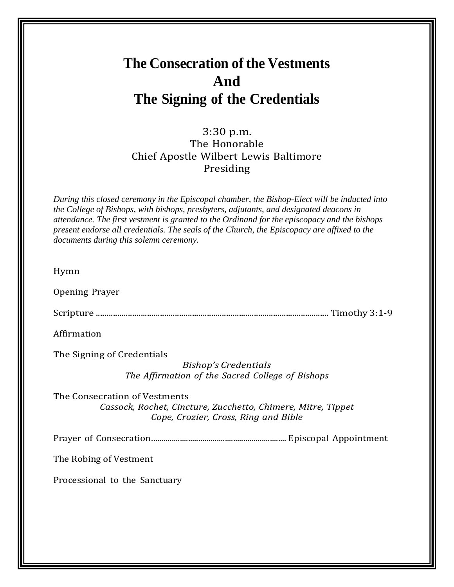## **The Consecration of the Vestments And The Signing of the Credentials**

## 3:30 p.m. The Honorable Chief Apostle Wilbert Lewis Baltimore Presiding

*During this closed ceremony in the Episcopal chamber, the Bishop-Elect will be inducted into the College of Bishops, with bishops, presbyters, adjutants, and designated deacons in attendance. The first vestment is granted to the Ordinand for the episcopacy and the bishops present endorse all credentials. The seals of the Church, the Episcopacy are affixed to the documents during this solemn ceremony.*

Hymn

Opening Prayer

Scripture ............................................................................................................. Timothy 3:1-9

Affirmation

The Signing of Credentials

*Bishop's Credentials The Affirmation of the Sacred College of Bishops*

The Consecration of Vestments *Cassock, Rochet, Cincture, Zucchetto, Chimere, Mitre, Tippet Cope, Crozier, Cross, Ring and Bible*

Prayer of Consecration.................................................................. Episcopal Appointment

The Robing of Vestment

Processional to the Sanctuary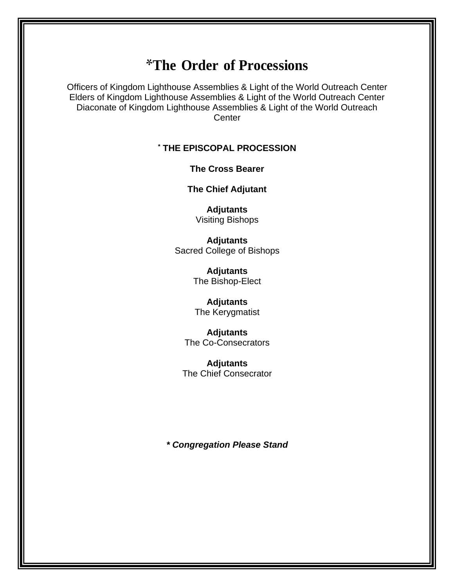## \***The Order of Processions**

Officers of Kingdom Lighthouse Assemblies & Light of the World Outreach Center Elders of Kingdom Lighthouse Assemblies & Light of the World Outreach Center Diaconate of Kingdom Lighthouse Assemblies & Light of the World Outreach **Center** 

## **\* THE EPISCOPAL PROCESSION**

#### **The Cross Bearer**

**The Chief Adjutant**

**Adjutants** Visiting Bishops

**Adjutants** Sacred College of Bishops

> **Adjutants** The Bishop-Elect

## **Adjutants**

The Kerygmatist

**Adjutants** The Co-Consecrators

**Adjutants** The Chief Consecrator

*\* Congregation Please Stand*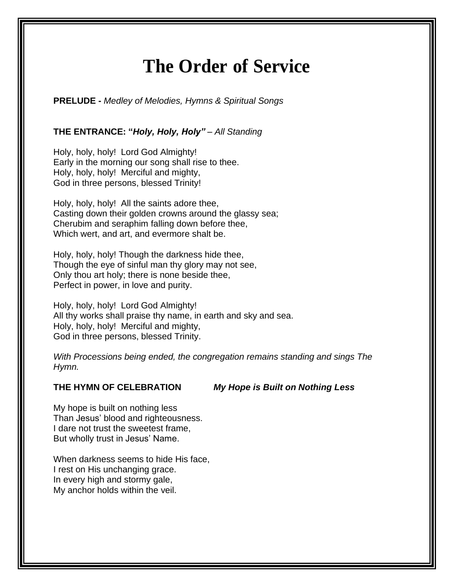## **The Order of Service**

**PRELUDE -** *Medley of Melodies, Hymns & Spiritual Songs*

### **THE ENTRANCE: "***Holy, Holy, Holy" – All Standing*

Holy, holy, holy! Lord God Almighty! Early in the morning our song shall rise to thee. Holy, holy, holy! Merciful and mighty, God in three persons, blessed Trinity!

Holy, holy, holy! All the saints adore thee, Casting down their golden crowns around the glassy sea; Cherubim and seraphim falling down before thee, Which wert, and art, and evermore shalt be.

Holy, holy, holy! Though the darkness hide thee, Though the eye of sinful man thy glory may not see, Only thou art holy; there is none beside thee, Perfect in power, in love and purity.

Holy, holy, holy! Lord God Almighty! All thy works shall praise thy name, in earth and sky and sea. Holy, holy, holy! Merciful and mighty, God in three persons, blessed Trinity.

*With Processions being ended, the congregation remains standing and sings The Hymn.*

**THE HYMN OF CELEBRATION** *My Hope is Built on Nothing Less*

My hope is built on nothing less Than Jesus' blood and righteousness. I dare not trust the sweetest frame, But wholly trust in Jesus' Name.

When darkness seems to hide His face, I rest on His unchanging grace. In every high and stormy gale, My anchor holds within the veil.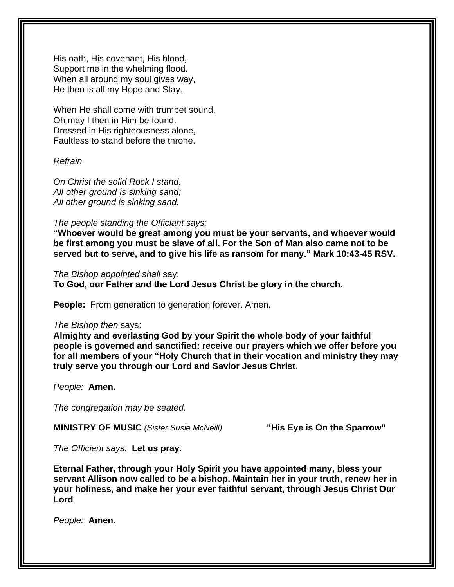His oath, His covenant, His blood, Support me in the whelming flood. When all around my soul gives way, He then is all my Hope and Stay.

When He shall come with trumpet sound, Oh may I then in Him be found. Dressed in His righteousness alone, Faultless to stand before the throne.

*Refrain*

*On Christ the solid Rock I stand, All other ground is sinking sand; All other ground is sinking sand.*

*The people standing the Officiant says:*

**"Whoever would be great among you must be your servants, and whoever would be first among you must be slave of all. For the Son of Man also came not to be served but to serve, and to give his life as ransom for many." Mark 10:43-45 RSV.**

*The Bishop appointed shall* say: **To God, our Father and the Lord Jesus Christ be glory in the church.**

**People:** From generation to generation forever. Amen.

#### *The Bishop then* says:

**Almighty and everlasting God by your Spirit the whole body of your faithful people is governed and sanctified: receive our prayers which we offer before you for all members of your "Holy Church that in their vocation and ministry they may truly serve you through our Lord and Savior Jesus Christ.**

*People:* **Amen.**

*The congregation may be seated.*

**MINISTRY OF MUSIC** *(Sister Susie McNeill)* **"His Eye is On the Sparrow"**

*The Officiant says:* **Let us pray.**

**Eternal Father, through your Holy Spirit you have appointed many, bless your servant Allison now called to be a bishop. Maintain her in your truth, renew her in your holiness, and make her your ever faithful servant, through Jesus Christ Our Lord**

*People:* **Amen.**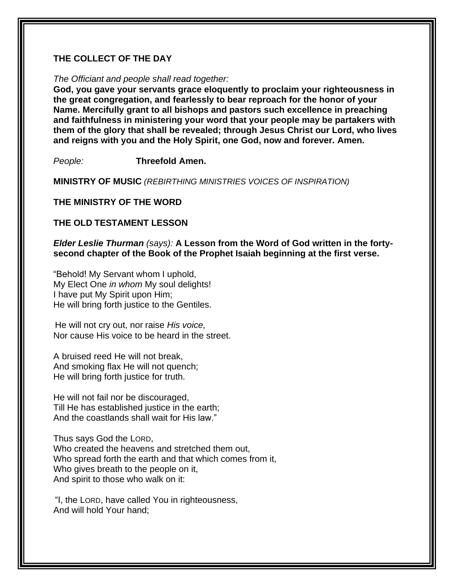### **THE COLLECT OF THE DAY**

#### *The Officiant and people shall read together:*

**God, you gave your servants grace eloquently to proclaim your righteousness in the great congregation, and fearlessly to bear reproach for the honor of your Name. Mercifully grant to all bishops and pastors such excellence in preaching and faithfulness in ministering your word that your people may be partakers with them of the glory that shall be revealed; through Jesus Christ our Lord, who lives and reigns with you and the Holy Spirit, one God, now and forever. Amen.**

*People:* **Threefold Amen.**

**MINISTRY OF MUSIC** *(REBIRTHING MINISTRIES VOICES OF INSPIRATION)*

#### **THE MINISTRY OF THE WORD**

#### **THE OLD TESTAMENT LESSON**

*Elder Leslie Thurman (says):* **A Lesson from the Word of God written in the fortysecond chapter of the Book of the Prophet Isaiah beginning at the first verse.**

"Behold! My Servant whom I uphold, My Elect One *in whom* My soul delights! I have put My Spirit upon Him; He will bring forth justice to the Gentiles.

He will not cry out, nor raise *His voice,* Nor cause His voice to be heard in the street.

A bruised reed He will not break, And smoking flax He will not quench; He will bring forth justice for truth.

He will not fail nor be discouraged, Till He has established justice in the earth; And the coastlands shall wait for His law."

Thus says God the LORD, Who created the heavens and stretched them out, Who spread forth the earth and that which comes from it. Who gives breath to the people on it, And spirit to those who walk on it:

"I, the LORD, have called You in righteousness, And will hold Your hand;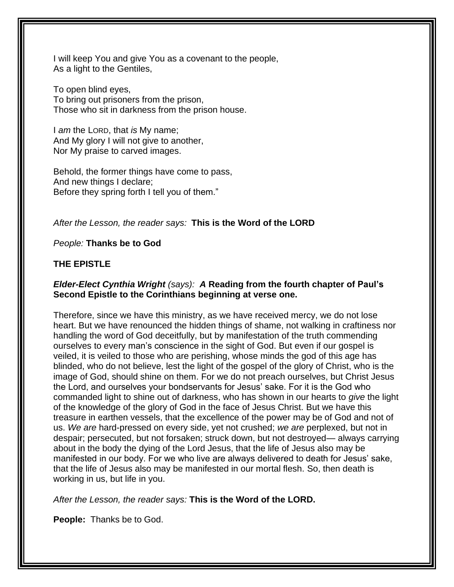I will keep You and give You as a covenant to the people, As a light to the Gentiles,

To open blind eyes, To bring out prisoners from the prison, Those who sit in darkness from the prison house.

I *am* the LORD, that *is* My name; And My glory I will not give to another, Nor My praise to carved images.

Behold, the former things have come to pass, And new things I declare; Before they spring forth I tell you of them."

*After the Lesson, the reader says:* **This is the Word of the LORD**

*People:* **Thanks be to God**

## **THE EPISTLE**

### *Elder-Elect Cynthia Wright (says): A* **Reading from the fourth chapter of Paul's Second Epistle to the Corinthians beginning at verse one.**

Therefore, since we have this ministry, as we have received mercy, we do not lose heart. But we have renounced the hidden things of shame, not walking in craftiness nor handling the word of God deceitfully, but by manifestation of the truth commending ourselves to every man's conscience in the sight of God. But even if our gospel is veiled, it is veiled to those who are perishing, whose minds the god of this age has blinded, who do not believe, lest the light of the gospel of the glory of Christ, who is the image of God, should shine on them. For we do not preach ourselves, but Christ Jesus the Lord, and ourselves your bondservants for Jesus' sake. For it is the God who commanded light to shine out of darkness, who has shown in our hearts to *give* the light of the knowledge of the glory of God in the face of Jesus Christ. But we have this treasure in earthen vessels, that the excellence of the power may be of God and not of us. *We are* hard-pressed on every side, yet not crushed; *we are* perplexed, but not in despair; persecuted, but not forsaken; struck down, but not destroyed— always carrying about in the body the dying of the Lord Jesus, that the life of Jesus also may be manifested in our body. For we who live are always delivered to death for Jesus' sake, that the life of Jesus also may be manifested in our mortal flesh. So, then death is working in us, but life in you.

*After the Lesson, the reader says:* **This is the Word of the LORD.**

**People:** Thanks be to God.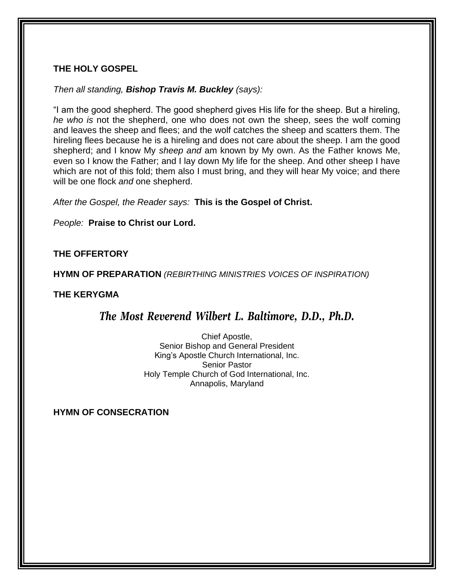### **THE HOLY GOSPEL**

### *Then all standing, Bishop Travis M. Buckley (says):*

"I am the good shepherd. The good shepherd gives His life for the sheep. But a hireling, *he who is* not the shepherd, one who does not own the sheep, sees the wolf coming and leaves the sheep and flees; and the wolf catches the sheep and scatters them. The hireling flees because he is a hireling and does not care about the sheep. I am the good shepherd; and I know My *sheep and* am known by My own. As the Father knows Me, even so I know the Father; and I lay down My life for the sheep. And other sheep I have which are not of this fold; them also I must bring, and they will hear My voice; and there will be one flock *and* one shepherd.

*After the Gospel, the Reader says:* **This is the Gospel of Christ.**

*People:* **Praise to Christ our Lord.**

## **THE OFFERTORY**

**HYMN OF PREPARATION** *(REBIRTHING MINISTRIES VOICES OF INSPIRATION)*

### **THE KERYGMA**

## *The Most Reverend Wilbert L. Baltimore, D.D., Ph.D.*

Chief Apostle, Senior Bishop and General President King's Apostle Church International, Inc. Senior Pastor Holy Temple Church of God International, Inc. Annapolis, Maryland

**HYMN OF CONSECRATION**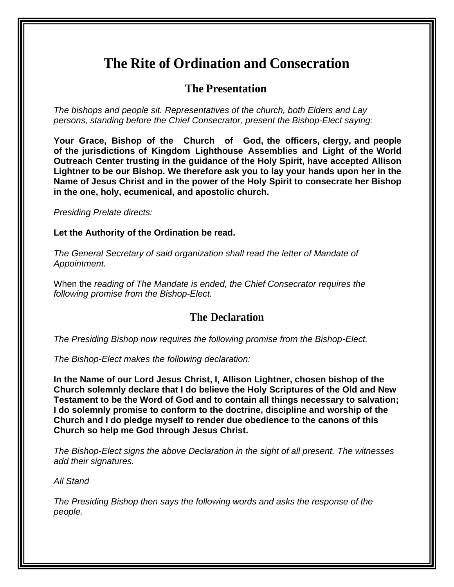## **The Rite of Ordination and Consecration**

## **The Presentation**

*The bishops and people sit. Representatives of the church, both Elders and Lay persons, standing before the Chief Consecrator, present the Bishop-Elect saying:*

**Your Grace, Bishop of the Church of God, the officers, clergy, and people of the jurisdictions of Kingdom Lighthouse Assemblies and Light of the World Outreach Center trusting in the guidance of the Holy Spirit, have accepted Allison Lightner to be our Bishop. We therefore ask you to lay your hands upon her in the Name of Jesus Christ and in the power of the Holy Spirit to consecrate her Bishop in the one, holy, ecumenical, and apostolic church.**

*Presiding Prelate directs:*

**Let the Authority of the Ordination be read.**

*The General Secretary of said organization shall read the letter of Mandate of Appointment.*

When the *reading of The Mandate is ended, the Chief Consecrator requires the following promise from the Bishop-Elect.*

## **The Declaration**

*The Presiding Bishop now requires the following promise from the Bishop-Elect.*

*The Bishop-Elect makes the following declaration:*

**In the Name of our Lord Jesus Christ, I, Allison Lightner, chosen bishop of the Church solemnly declare that I do believe the Holy Scriptures of the Old and New Testament to be the Word of God and to contain all things necessary to salvation; I do solemnly promise to conform to the doctrine, discipline and worship of the Church and I do pledge myself to render due obedience to the canons of this Church so help me God through Jesus Christ.**

*The Bishop-Elect signs the above Declaration in the sight of all present. The witnesses add their signatures.*

*All Stand*

*The Presiding Bishop then says the following words and asks the response of the people.*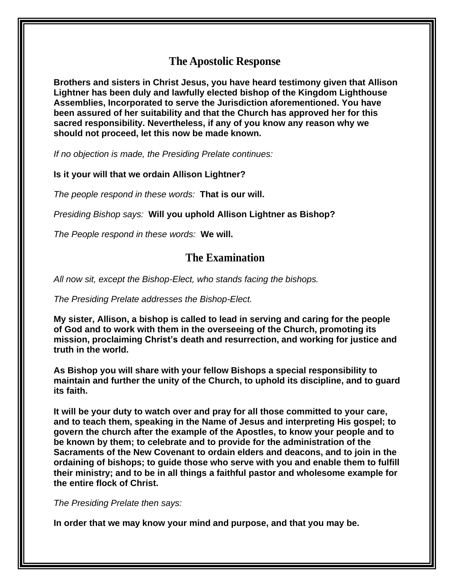## **The Apostolic Response**

**Brothers and sisters in Christ Jesus, you have heard testimony given that Allison Lightner has been duly and lawfully elected bishop of the Kingdom Lighthouse Assemblies, Incorporated to serve the Jurisdiction aforementioned. You have been assured of her suitability and that the Church has approved her for this sacred responsibility. Nevertheless, if any of you know any reason why we should not proceed, let this now be made known.**

*If no objection is made, the Presiding Prelate continues:*

**Is it your will that we ordain Allison Lightner?**

*The people respond in these words:* **That is our will.**

*Presiding Bishop says:* **Will you uphold Allison Lightner as Bishop?**

*The People respond in these words:* **We will.**

## **The Examination**

*All now sit, except the Bishop-Elect, who stands facing the bishops.*

*The Presiding Prelate addresses the Bishop-Elect.*

**My sister, Allison, a bishop is called to lead in serving and caring for the people of God and to work with them in the overseeing of the Church, promoting its mission, proclaiming Christ's death and resurrection, and working for justice and truth in the world.**

**As Bishop you will share with your fellow Bishops a special responsibility to maintain and further the unity of the Church, to uphold its discipline, and to guard its faith.**

**It will be your duty to watch over and pray for all those committed to your care, and to teach them, speaking in the Name of Jesus and interpreting His gospel; to govern the church after the example of the Apostles, to know your people and to be known by them; to celebrate and to provide for the administration of the Sacraments of the New Covenant to ordain elders and deacons, and to join in the ordaining of bishops; to guide those who serve with you and enable them to fulfill their ministry; and to be in all things a faithful pastor and wholesome example for the entire flock of Christ.**

*The Presiding Prelate then says:*

**In order that we may know your mind and purpose, and that you may be.**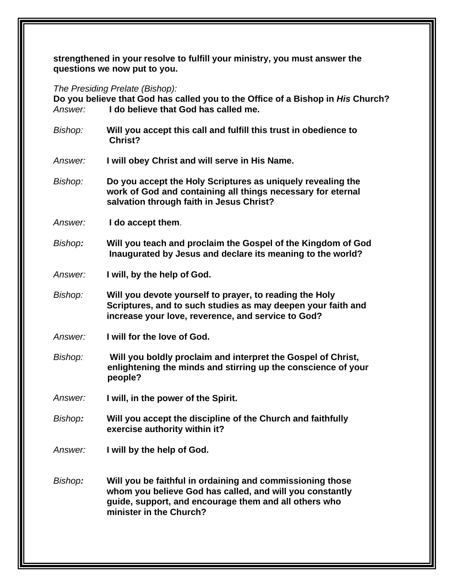**strengthened in your resolve to fulfill your ministry, you must answer the questions we now put to you.**

*The Presiding Prelate (Bishop):*

**Do you believe that God has called you to the Office of a Bishop in** *His* **Church?** *Answer:* **I do believe that God has called me.**

*Bishop:* **Will you accept this call and fulfill this trust in obedience to Christ?**

*Answer:* **I will obey Christ and will serve in His Name.**

- *Bishop:* **Do you accept the Holy Scriptures as uniquely revealing the work of God and containing all things necessary for eternal salvation through faith in Jesus Christ?**
- *Answer:* **I do accept them**.
- *Bishop:* **Will you teach and proclaim the Gospel of the Kingdom of God Inaugurated by Jesus and declare its meaning to the world?**
- *Answer:* **I will, by the help of God.**
- *Bishop:* **Will you devote yourself to prayer, to reading the Holy Scriptures, and to such studies as may deepen your faith and increase your love, reverence, and service to God?**
- *Answer:* **I will for the love of God.**
- *Bishop:* **Will you boldly proclaim and interpret the Gospel of Christ, enlightening the minds and stirring up the conscience of your people?**
- *Answer:* **I will, in the power of the Spirit.**
- *Bishop:* **Will you accept the discipline of the Church and faithfully exercise authority within it?**
- *Answer:* **I will by the help of God.**
- *Bishop:* **Will you be faithful in ordaining and commissioning those whom you believe God has called, and will you constantly guide, support, and encourage them and all others who minister in the Church?**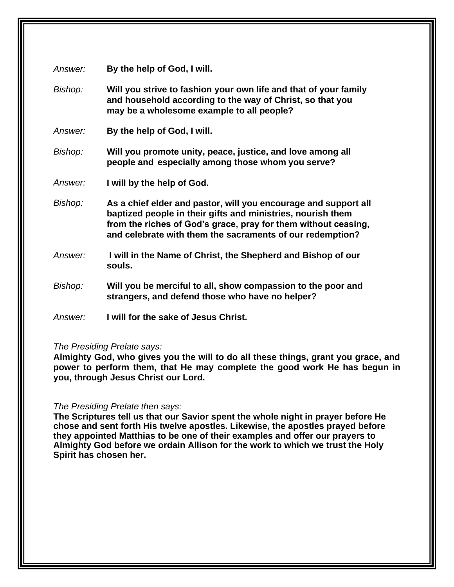| Answer: | By the help of God, I will.                                                                                                                                                                                                                                   |
|---------|---------------------------------------------------------------------------------------------------------------------------------------------------------------------------------------------------------------------------------------------------------------|
| Bishop: | Will you strive to fashion your own life and that of your family<br>and household according to the way of Christ, so that you<br>may be a wholesome example to all people?                                                                                    |
| Answer: | By the help of God, I will.                                                                                                                                                                                                                                   |
| Bishop: | Will you promote unity, peace, justice, and love among all<br>people and especially among those whom you serve?                                                                                                                                               |
| Answer: | I will by the help of God.                                                                                                                                                                                                                                    |
| Bishop: | As a chief elder and pastor, will you encourage and support all<br>baptized people in their gifts and ministries, nourish them<br>from the riches of God's grace, pray for them without ceasing,<br>and celebrate with them the sacraments of our redemption? |
| Answer: | I will in the Name of Christ, the Shepherd and Bishop of our<br>souls.                                                                                                                                                                                        |
| Bishop: | Will you be merciful to all, show compassion to the poor and<br>strangers, and defend those who have no helper?                                                                                                                                               |
| Answer: | I will for the sake of Jesus Christ.                                                                                                                                                                                                                          |

#### *The Presiding Prelate says:*

**Almighty God, who gives you the will to do all these things, grant you grace, and power to perform them, that He may complete the good work He has begun in you, through Jesus Christ our Lord.**

#### *The Presiding Prelate then says:*

**The Scriptures tell us that our Savior spent the whole night in prayer before He chose and sent forth His twelve apostles. Likewise, the apostles prayed before they appointed Matthias to be one of their examples and offer our prayers to Almighty God before we ordain Allison for the work to which we trust the Holy Spirit has chosen her.**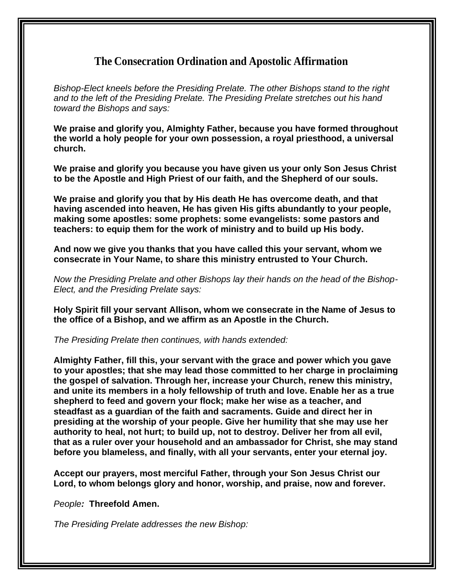## **The Consecration Ordination and Apostolic Affirmation**

*Bishop-Elect kneels before the Presiding Prelate. The other Bishops stand to the right and to the left of the Presiding Prelate. The Presiding Prelate stretches out his hand toward the Bishops and says:*

**We praise and glorify you, Almighty Father, because you have formed throughout the world a holy people for your own possession, a royal priesthood, a universal church.**

**We praise and glorify you because you have given us your only Son Jesus Christ to be the Apostle and High Priest of our faith, and the Shepherd of our souls.**

**We praise and glorify you that by His death He has overcome death, and that having ascended into heaven, He has given His gifts abundantly to your people, making some apostles: some prophets: some evangelists: some pastors and teachers: to equip them for the work of ministry and to build up His body.**

**And now we give you thanks that you have called this your servant, whom we consecrate in Your Name, to share this ministry entrusted to Your Church.**

*Now the Presiding Prelate and other Bishops lay their hands on the head of the Bishop-Elect, and the Presiding Prelate says:*

**Holy Spirit fill your servant Allison, whom we consecrate in the Name of Jesus to the office of a Bishop, and we affirm as an Apostle in the Church.**

*The Presiding Prelate then continues, with hands extended:*

**Almighty Father, fill this, your servant with the grace and power which you gave to your apostles; that she may lead those committed to her charge in proclaiming the gospel of salvation. Through her, increase your Church, renew this ministry, and unite its members in a holy fellowship of truth and love. Enable her as a true shepherd to feed and govern your flock; make her wise as a teacher, and steadfast as a guardian of the faith and sacraments. Guide and direct her in presiding at the worship of your people. Give her humility that she may use her authority to heal, not hurt; to build up, not to destroy. Deliver her from all evil, that as a ruler over your household and an ambassador for Christ, she may stand before you blameless, and finally, with all your servants, enter your eternal joy.**

**Accept our prayers, most merciful Father, through your Son Jesus Christ our Lord, to whom belongs glory and honor, worship, and praise, now and forever.**

*People:* **Threefold Amen.**

*The Presiding Prelate addresses the new Bishop:*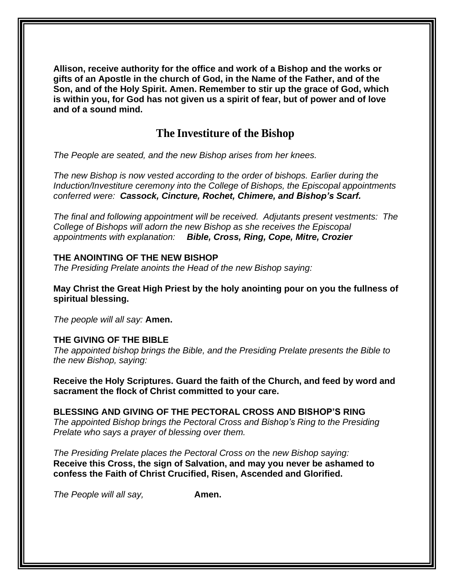**Allison, receive authority for the office and work of a Bishop and the works or gifts of an Apostle in the church of God, in the Name of the Father, and of the Son, and of the Holy Spirit. Amen. Remember to stir up the grace of God, which is within you, for God has not given us a spirit of fear, but of power and of love and of a sound mind.**

## **The Investiture of the Bishop**

*The People are seated, and the new Bishop arises from her knees.*

*The new Bishop is now vested according to the order of bishops. Earlier during the Induction/Investiture ceremony into the College of Bishops, the Episcopal appointments conferred were: Cassock, Cincture, Rochet, Chimere, and Bishop's Scarf.*

*The final and following appointment will be received. Adjutants present vestments: The College of Bishops will adorn the new Bishop as she receives the Episcopal appointments with explanation: Bible, Cross, Ring, Cope, Mitre, Crozier*

#### **THE ANOINTING OF THE NEW BISHOP**

*The Presiding Prelate anoints the Head of the new Bishop saying:*

**May Christ the Great High Priest by the holy anointing pour on you the fullness of spiritual blessing.**

*The people will all say:* **Amen.**

### **THE GIVING OF THE BIBLE**

*The appointed bishop brings the Bible, and the Presiding Prelate presents the Bible to the new Bishop, saying:*

**Receive the Holy Scriptures. Guard the faith of the Church, and feed by word and sacrament the flock of Christ committed to your care.**

**BLESSING AND GIVING OF THE PECTORAL CROSS AND BISHOP'S RING** *The appointed Bishop brings the Pectoral Cross and Bishop's Ring to the Presiding*

*Prelate who says a prayer of blessing over them.*

*The Presiding Prelate places the Pectoral Cross on* the *new Bishop saying:* **Receive this Cross, the sign of Salvation, and may you never be ashamed to confess the Faith of Christ Crucified, Risen, Ascended and Glorified.**

*The People will all say,* **Amen.**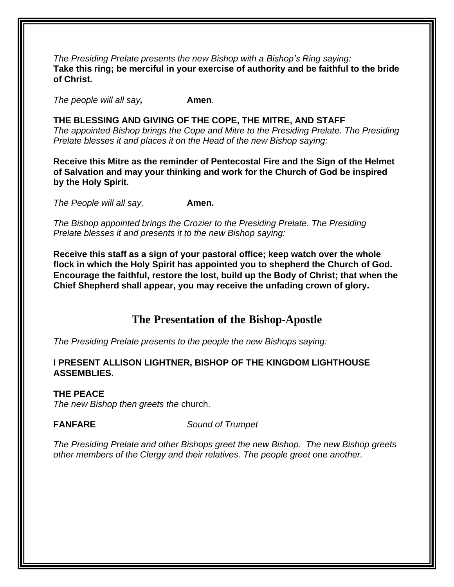*The Presiding Prelate presents the new Bishop with a Bishop's Ring saying:* **Take this ring; be merciful in your exercise of authority and be faithful to the bride of Christ.**

*The people will all say,* **Amen**.

**THE BLESSING AND GIVING OF THE COPE, THE MITRE, AND STAFF** *The appointed Bishop brings the Cope and Mitre to the Presiding Prelate. The Presiding Prelate blesses it and places it on the Head of the new Bishop saying:*

**Receive this Mitre as the reminder of Pentecostal Fire and the Sign of the Helmet of Salvation and may your thinking and work for the Church of God be inspired by the Holy Spirit.**

*The People will all say,* **Amen.**

*The Bishop appointed brings the Crozier to the Presiding Prelate. The Presiding Prelate blesses it and presents it to the new Bishop saying:*

**Receive this staff as a sign of your pastoral office; keep watch over the whole flock in which the Holy Spirit has appointed you to shepherd the Church of God. Encourage the faithful, restore the lost, build up the Body of Christ; that when the Chief Shepherd shall appear, you may receive the unfading crown of glory.**

## **The Presentation of the Bishop-Apostle**

*The Presiding Prelate presents to the people the new Bishops saying:*

#### **I PRESENT ALLISON LIGHTNER, BISHOP OF THE KINGDOM LIGHTHOUSE ASSEMBLIES.**

#### **THE PEACE**

*The new Bishop then greets the* church.

**FANFARE** *Sound of Trumpet*

*The Presiding Prelate and other Bishops greet the new Bishop. The new Bishop greets other members of the Clergy and their relatives. The people greet one another.*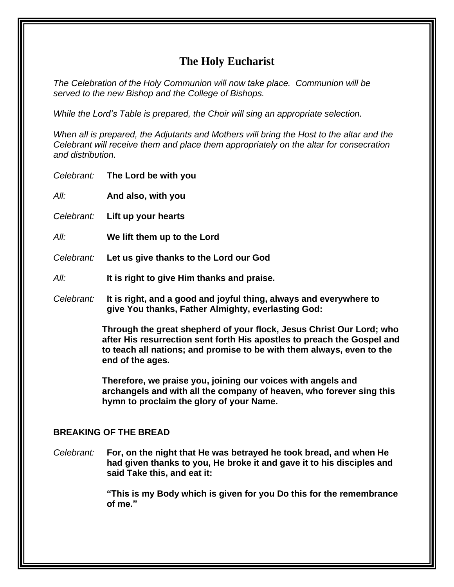## **The Holy Eucharist**

*The Celebration of the Holy Communion will now take place. Communion will be served to the new Bishop and the College of Bishops.*

*While the Lord's Table is prepared, the Choir will sing an appropriate selection.*

*When all is prepared, the Adjutants and Mothers will bring the Host to the altar and the Celebrant will receive them and place them appropriately on the altar for consecration and distribution.*

| Celebrant: | The Lord be with you                                                                                                                                                                                                                         |
|------------|----------------------------------------------------------------------------------------------------------------------------------------------------------------------------------------------------------------------------------------------|
| All:       | And also, with you                                                                                                                                                                                                                           |
|            | Celebrant: Lift up your hearts                                                                                                                                                                                                               |
| All:       | We lift them up to the Lord                                                                                                                                                                                                                  |
| Celebrant: | Let us give thanks to the Lord our God                                                                                                                                                                                                       |
| All:       | It is right to give Him thanks and praise.                                                                                                                                                                                                   |
| Celebrant: | It is right, and a good and joyful thing, always and everywhere to<br>give You thanks, Father Almighty, everlasting God:                                                                                                                     |
|            | Through the great shepherd of your flock, Jesus Christ Our Lord; who<br>after His resurrection sent forth His apostles to preach the Gospel and<br>to teach all nations; and promise to be with them always, even to the<br>end of the ages. |
|            | Therefore, we praise you, joining our voices with angels and<br>archangels and with all the company of heaven, who forever sing this<br>hymn to proclaim the glory of your Name.                                                             |

### **BREAKING OF THE BREAD**

*Celebrant:* **For, on the night that He was betrayed he took bread, and when He had given thanks to you, He broke it and gave it to his disciples and said Take this, and eat it:**

> **"This is my Body which is given for you Do this for the remembrance of me."**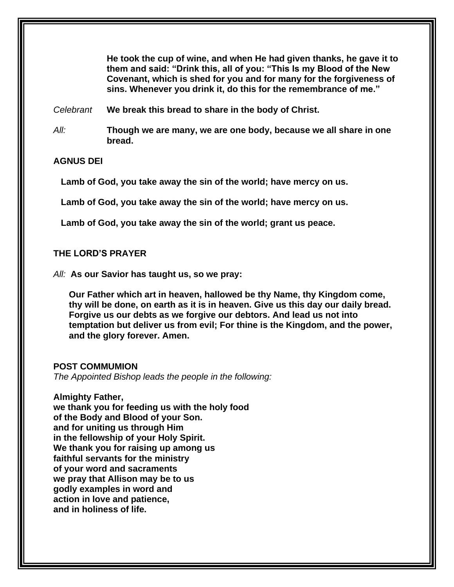**He took the cup of wine, and when He had given thanks, he gave it to them and said: "Drink this, all of you: "This Is my Blood of the New Covenant, which is shed for you and for many for the forgiveness of sins. Whenever you drink it, do this for the remembrance of me."**

*Celebrant* **We break this bread to share in the body of Christ.**

*All:* **Though we are many, we are one body, because we all share in one bread.**

**AGNUS DEI**

**Lamb of God, you take away the sin of the world; have mercy on us.**

**Lamb of God, you take away the sin of the world; have mercy on us.**

**Lamb of God, you take away the sin of the world; grant us peace.**

**THE LORD'S PRAYER**

*All:* **As our Savior has taught us, so we pray:**

**Our Father which art in heaven, hallowed be thy Name, thy Kingdom come, thy will be done, on earth as it is in heaven. Give us this day our daily bread. Forgive us our debts as we forgive our debtors. And lead us not into temptation but deliver us from evil; For thine is the Kingdom, and the power, and the glory forever. Amen.**

#### **POST COMMUMION**

*The Appointed Bishop leads the people in the following:*

**Almighty Father, we thank you for feeding us with the holy food of the Body and Blood of your Son. and for uniting us through Him in the fellowship of your Holy Spirit. We thank you for raising up among us faithful servants for the ministry of your word and sacraments we pray that Allison may be to us godly examples in word and action in love and patience, and in holiness of life.**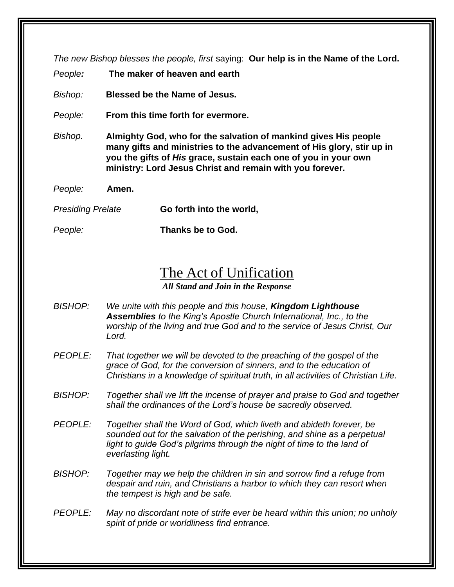*The new Bishop blesses the people, first* saying: **Our help is in the Name of the Lord.**

*People:* **The maker of heaven and earth**

*Bishop:* **Blessed be the Name of Jesus.**

*People:* **From this time forth for evermore.**

*Bishop.* **Almighty God, who for the salvation of mankind gives His people many gifts and ministries to the advancement of His glory, stir up in you the gifts of** *His* **grace, sustain each one of you in your own ministry: Lord Jesus Christ and remain with you forever.**

*People:* **Amen.**

*Presiding Prelate* **Go forth into the world,**

*People:* **Thanks be to God.**

## The Act of Unification

*All Stand and Join in the Response*

- *BISHOP: We unite with this people and this house, Kingdom Lighthouse Assemblies to the King's Apostle Church International, Inc., to the worship of the living and true God and to the service of Jesus Christ, Our Lord.*
- *PEOPLE: That together we will be devoted to the preaching of the gospel of the grace of God, for the conversion of sinners, and to the education of Christians in a knowledge of spiritual truth, in all activities of Christian Life.*
- *BISHOP: Together shall we lift the incense of prayer and praise to God and together shall the ordinances of the Lord's house be sacredly observed.*
- *PEOPLE: Together shall the Word of God, which liveth and abideth forever, be sounded out for the salvation of the perishing, and shine as a perpetual light to guide God's pilgrims through the night of time to the land of everlasting light.*
- *BISHOP: Together may we help the children in sin and sorrow find a refuge from despair and ruin, and Christians a harbor to which they can resort when the tempest is high and be safe.*
- *PEOPLE: May no discordant note of strife ever be heard within this union; no unholy spirit of pride or worldliness find entrance.*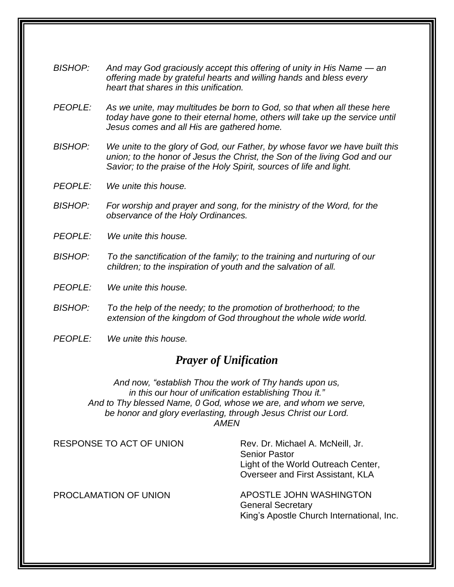- *BISHOP:* And may God graciously accept this offering of unity in His Name an *offering made by grateful hearts and willing hands* and *bless every heart that shares in this unification.*
- *PEOPLE: As we unite, may multitudes be born to God, so that when all these here today have gone to their eternal home, others will take up the service until Jesus comes and all His are gathered home.*
- *BISHOP: We unite to the glory of God, our Father, by whose favor we have built this union; to the honor of Jesus the Christ, the Son of the living God and our Savior; to the praise of the Holy Spirit, sources of life and light.*
- *PEOPLE: We unite this house.*
- *BISHOP: For worship and prayer and song, for the ministry of the Word, for the observance of the Holy Ordinances.*
- *PEOPLE: We unite this house.*
- *BISHOP: To the sanctification of the family; to the training and nurturing of our children; to the inspiration of youth and the salvation of all.*
- *PEOPLE: We unite this house.*
- *BISHOP: To the help of the needy; to the promotion of brotherhood; to the extension of the kingdom of God throughout the whole wide world.*
- *PEOPLE: We unite this house.*

## *Prayer of Unification*

*And now, "establish Thou the work of Thy hands upon us, in this our hour of unification establishing Thou it." And to Thy blessed Name, 0 God, whose we are, and whom we serve, be honor and glory everlasting, through Jesus Christ our Lord. AMEN*

RESPONSE TO ACT OF UNION

Rev. Dr. Michael A. McNeill, Jr. Senior Pastor Light of the World Outreach Center, Overseer and First Assistant, KLA

PROCLAMATION OF UNION

APOSTLE JOHN WASHINGTON General Secretary King's Apostle Church International, Inc.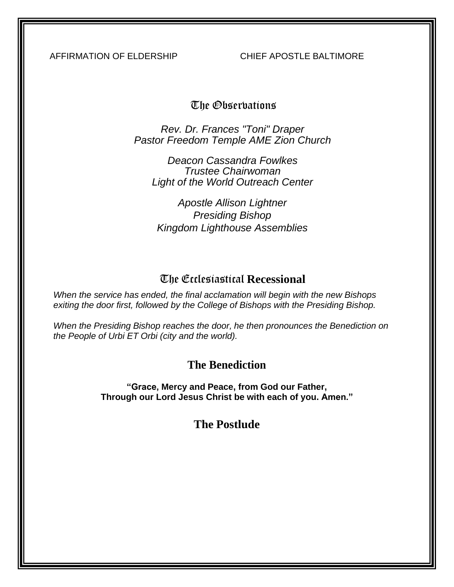AFFIRMATION OF ELDERSHIP CHIEF APOSTLE BALTIMORE

## The Observations

*Rev. Dr. Frances "Toni" Draper Pastor Freedom Temple AME Zion Church*

*Deacon Cassandra Fowlkes Trustee Chairwoman Light of the World Outreach Center*

*Apostle Allison Lightner Presiding Bishop Kingdom Lighthouse Assemblies*

## The Ecclesiastical **Recessional**

*When the service has ended, the final acclamation will begin with the new Bishops exiting the door first, followed by the College of Bishops with the Presiding Bishop.*

*When the Presiding Bishop reaches the door, he then pronounces the Benediction on the People of Urbi ET Orbi (city and the world).*

## **The Benediction**

**"Grace, Mercy and Peace, from God our Father, Through our Lord Jesus Christ be with each of you. Amen."**

**The Postlude**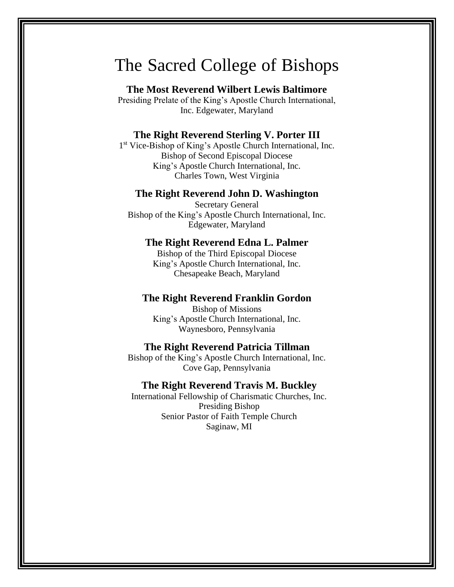## The Sacred College of Bishops

#### **The Most Reverend Wilbert Lewis Baltimore**

Presiding Prelate of the King's Apostle Church International, Inc. Edgewater, Maryland

#### **The Right Reverend Sterling V. Porter III**

1 st Vice-Bishop of King's Apostle Church International, Inc. Bishop of Second Episcopal Diocese King's Apostle Church International, Inc. Charles Town, West Virginia

#### **The Right Reverend John D. Washington**

Secretary General Bishop of the King's Apostle Church International, Inc. Edgewater, Maryland

#### **The Right Reverend Edna L. Palmer**

Bishop of the Third Episcopal Diocese King's Apostle Church International, Inc. Chesapeake Beach, Maryland

#### **The Right Reverend Franklin Gordon**

Bishop of Missions King's Apostle Church International, Inc. Waynesboro, Pennsylvania

#### **The Right Reverend Patricia Tillman**

Bishop of the King's Apostle Church International, Inc. Cove Gap, Pennsylvania

#### **The Right Reverend Travis M. Buckley**

International Fellowship of Charismatic Churches, Inc. Presiding Bishop Senior Pastor of Faith Temple Church Saginaw, MI